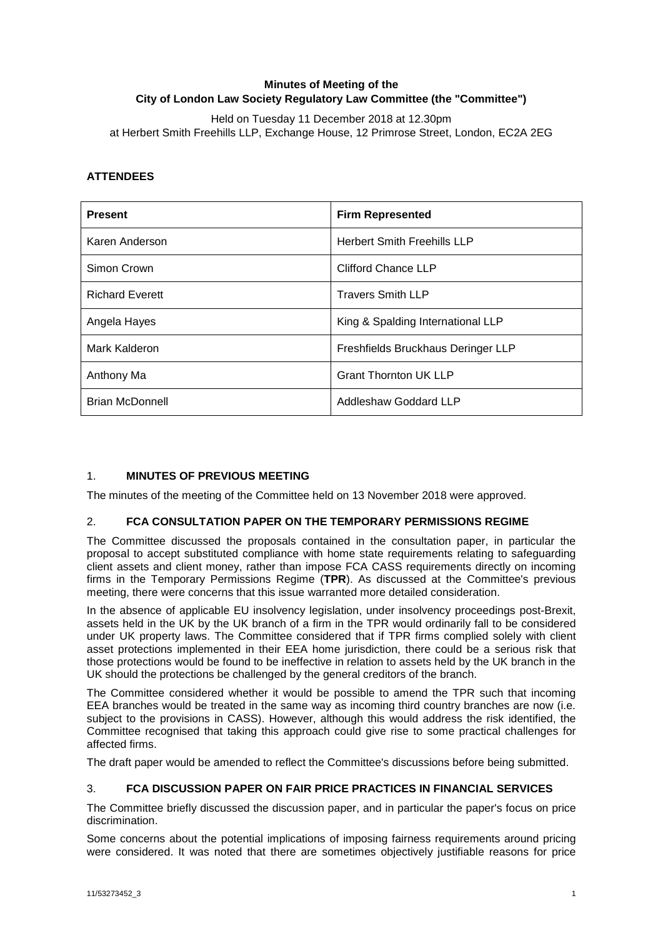# **Minutes of Meeting of the City of London Law Society Regulatory Law Committee (the "Committee")**

Held on Tuesday 11 December 2018 at 12.30pm at Herbert Smith Freehills LLP, Exchange House, 12 Primrose Street, London, EC2A 2EG

# **ATTENDEES**

| <b>Present</b>         | <b>Firm Represented</b>            |
|------------------------|------------------------------------|
| Karen Anderson         | <b>Herbert Smith Freehills LLP</b> |
| Simon Crown            | Clifford Chance LLP                |
| <b>Richard Everett</b> | <b>Travers Smith LLP</b>           |
| Angela Hayes           | King & Spalding International LLP  |
| Mark Kalderon          | Freshfields Bruckhaus Deringer LLP |
| Anthony Ma             | <b>Grant Thornton UK LLP</b>       |
| <b>Brian McDonnell</b> | Addleshaw Goddard LLP              |

# 1. **MINUTES OF PREVIOUS MEETING**

The minutes of the meeting of the Committee held on 13 November 2018 were approved.

## 2. **FCA CONSULTATION PAPER ON THE TEMPORARY PERMISSIONS REGIME**

The Committee discussed the proposals contained in the consultation paper, in particular the proposal to accept substituted compliance with home state requirements relating to safeguarding client assets and client money, rather than impose FCA CASS requirements directly on incoming firms in the Temporary Permissions Regime (**TPR**). As discussed at the Committee's previous meeting, there were concerns that this issue warranted more detailed consideration.

In the absence of applicable EU insolvency legislation, under insolvency proceedings post-Brexit, assets held in the UK by the UK branch of a firm in the TPR would ordinarily fall to be considered under UK property laws. The Committee considered that if TPR firms complied solely with client asset protections implemented in their EEA home jurisdiction, there could be a serious risk that those protections would be found to be ineffective in relation to assets held by the UK branch in the UK should the protections be challenged by the general creditors of the branch.

The Committee considered whether it would be possible to amend the TPR such that incoming EEA branches would be treated in the same way as incoming third country branches are now (i.e. subject to the provisions in CASS). However, although this would address the risk identified, the Committee recognised that taking this approach could give rise to some practical challenges for affected firms.

The draft paper would be amended to reflect the Committee's discussions before being submitted.

## 3. **FCA DISCUSSION PAPER ON FAIR PRICE PRACTICES IN FINANCIAL SERVICES**

The Committee briefly discussed the discussion paper, and in particular the paper's focus on price discrimination.

Some concerns about the potential implications of imposing fairness requirements around pricing were considered. It was noted that there are sometimes objectively justifiable reasons for price